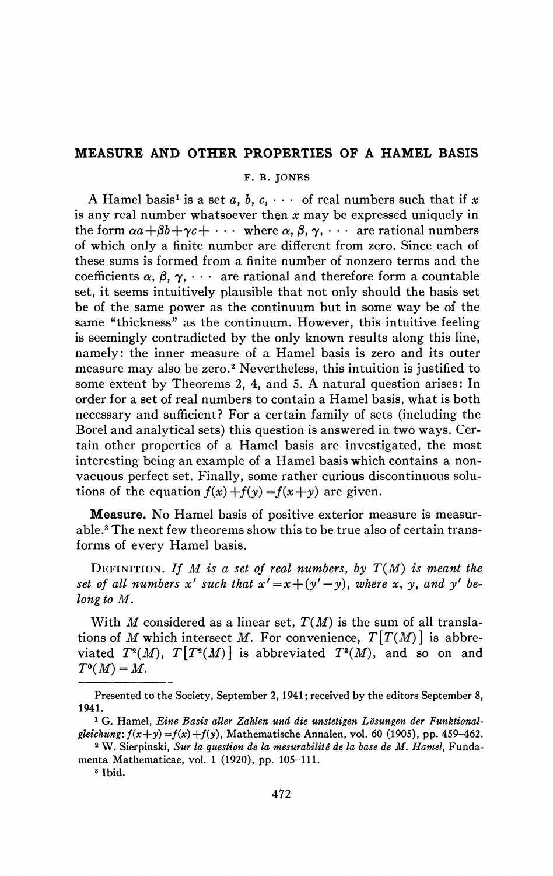## **MEASURE AND OTHER PROPERTIES OF A HAMEL BASIS**

F. B. JONES

A Hamel basis<sup>1</sup> is a set a, b, c,  $\cdots$  of real numbers such that if x is any real number whatsoever then *x* may be expressed uniquely in the form  $\alpha a+\beta b+\gamma c+\cdots$  where  $\alpha, \beta, \gamma, \cdots$  are rational numbers of which only a finite number are different from zero. Since each of these sums is formed from a finite number of nonzero terms and the coefficients  $\alpha$ ,  $\beta$ ,  $\gamma$ ,  $\cdots$  are rational and therefore form a countable set, it seems intuitively plausible that not only should the basis set be of the same power as the continuum but in some way be of the same "thickness" as the continuum. However, this intuitive feeling is seemingly contradicted by the only known results along this line, namely: the inner measure of a Hamel basis is zero and its outer measure may also be zero.<sup>2</sup> Nevertheless, this intuition is justified to some extent by Theorems 2, 4, and 5. A natural question arises: In order for a set of real numbers to contain a Hamel basis, what is both necessary and sufficient? For a certain family of sets (including the Borel and analytical sets) this question is answered in two ways. Certain other properties of a Hamel basis are investigated, the most interesting being an example of a Hamel basis which contains a nonvacuous perfect set. Finally, some rather curious discontinuous solutions of the equation  $f(x) + f(y) = f(x+y)$  are given.

Measure, No Hamel basis of positive exterior measure is measurable.<sup>3</sup> The next few theorems show this to be true also of certain transforms of every Hamel basis.

DEFINITION. If  $M$  is a set of real numbers, by  $T(M)$  is meant the *set of all numbers* x' *such that*  $x' = x + (y' - y)$ *, where* x, y, and y' be*long to M.* 

With *M* considered as a linear set, *T(M*) is the sum of all translations of *M* which intersect *M*. For convenience,  $T[T(M)]$  is abbreviated  $T^2(M)$ ,  $T[T^2(M)]$  is abbreviated  $T^2(M)$ , and so on and  $T^{\circ}(M)=M$ .

Presented to the Society, September 2, 1941 ; received by the editors September 8, 1941.

<sup>1</sup> G. Hamel, *Eine Basis aller Zahlen und die unstetigen Lösungen der Funktionalgleichung:*  $f(x+y) = f(x) + f(y)$ , Mathematische Annalen, vol. 60 (1905), pp. 459-462.

<sup>2</sup> W. Sierpinski, *Sur la question de la mesurabilitê de la base de M. Hamel,* Fundamenta Mathematicae, vol. 1 (1920), pp. 105-111.

<sup>3</sup> Ibid.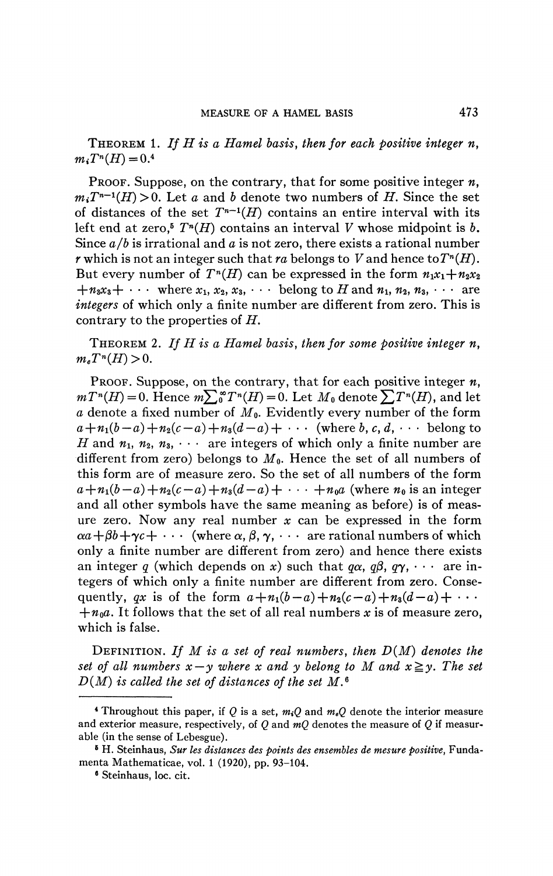THEOREM 1. *If H is a Hamel basis, then for each positive integer n,*   $m_i T^n(H) = 0$ 

PROOF. Suppose, on the contrary, that for some positive integer *n,*   $m_i T^{n-1}(H) > 0$ . Let *a* and *b* denote two numbers of *H*. Since the set of distances of the set  $T^{n-1}(H)$  contains an entire interval with its left end at zero,<sup>5</sup>  $T^n(H)$  contains an interval *V* whose midpoint is *b*. Since *a/b* is irrational and *a* is not zero, there exists a rational number *r* which is not an integer such that *ra* belongs to *V* and hence to  $T<sup>n</sup>(H)$ . But every number of  $T^n(H)$  can be expressed in the form  $n_1x_1+n_2x_2$  $+n_3x_3+\cdots$  where  $x_1, x_2, x_3, \cdots$  belong to H and  $n_1, n_2, n_3, \cdots$  are *integers* of which only a finite number are different from zero. This is contrary to the properties of *H.* 

THEOREM 2. *If H is a Hamel basis, then for some positive integer n,*   $m_e T^n(H)$ 

PROOF. Suppose, on the contrary, that for each positive integer *n,*   $mT^{n}(H) = 0$ . Hence  $m\sum_{0}^{\infty}T^{n}(H) = 0$ . Let  $M_{0}$  denote  $\sum T^{n}(H)$ , and let *a* denote a fixed number of *MQ.* Evidently every number of the form  $a+n_1(b-a)+n_2(c-a)+n_3(d-a)+\cdots$  (where *b*, *c*, *d*,  $\cdots$  belong to *H* and  $n_1, n_2, n_3, \cdots$  are integers of which only a finite number are different from zero) belongs to  $M_0$ . Hence the set of all numbers of this form are of measure zero. So the set of all numbers of the form  $a+n_1(b-a)+n_2(c-a)+n_3(d-a)+\cdots+n_0a$  (where  $n_0$  is an integer and all other symbols have the same meaning as before) is of measure zero. Now any real number *x* can be expressed in the form  $\alpha a+\beta b+\gamma c+\cdots$  (where  $\alpha, \beta, \gamma, \cdots$  are rational numbers of which only a finite number are different from zero) and hence there exists an integer q (which depends on x) such that  $q\alpha$ ,  $q\beta$ ,  $q\gamma$ ,  $\cdots$  are integers of which only a finite number are different from zero. Consequently, *qx* is of the form  $a+n_1(b-a)+n_2(c-a)+n_3(d-a)+\cdots$  $+n_0a$ . It follows that the set of all real numbers x is of measure zero, which is false.

DEFINITION. *If M is a set of real numbers, then D(M) denotes the set of all numbers*  $x - y$  where x and y belong to M and  $x \ge y$ . The set *D(M) is called the set of distances of the set M.\** 

<sup>4</sup> Throughout this paper, if *Q* is a set, *miQ* and *meQ* denote the interior measure and exterior measure, respectively, of *Q* and *mQ* denotes the measure of *Q* if measurable (in the sense of Lebesgue).

<sup>6</sup> H. Steinhaus, *Sur les distances des points des ensembles de mesure positive,* Fundamenta Mathematicae, vol. 1 (1920), pp. 93-104.

<sup>6</sup> Steinhaus, loc. cit.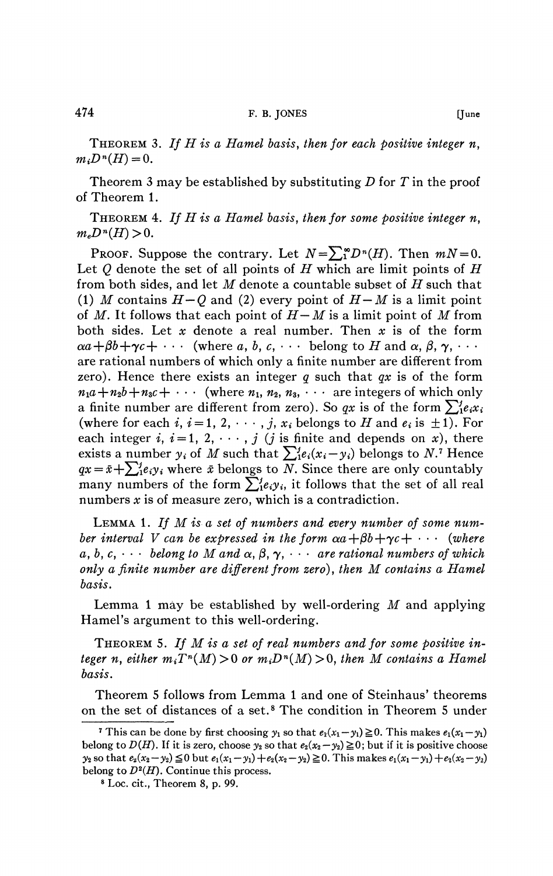THEOREM 3. *If H is a Hamel basis, then for each positive integer n,*   $m_i D^n(H) =$ 

Theorem 3 may be established by substituting *D* for *T* in the proof of Theorem 1.

THEOREM 4. *If H is a Hamel basis, then for some positive integer n,*   $m_e D^n(H)$ 

PROOF. Suppose the contrary. Let  $N = \sum_{i=1}^{\infty} D^{n}(H)$ . Then  $mN = 0$ . Let *Q* denote the set of all points of *H* which are limit points of *H*  from both sides, and let *M* denote a countable subset of *H* such that (1) *M* contains  $H-O$  and (2) every point of  $H-M$  is a limit point of *M.* It follows that each point of *H—M* is a limit point of *M* from both sides. Let *x* denote a real number. Then *x* is of the form  $\alpha a+\beta b+\gamma c+\cdots$  (where a, b, c,  $\cdots$  belong to H and  $\alpha, \beta, \gamma, \cdots$ are rational numbers of which only a finite number are different from zero). Hence there exists an integer *q* such that *qx* is of the form  $n_1a+n_2b+n_3c+\cdots$  (where  $n_1, n_2, n_3, \cdots$  are integers of which only a finite number are different from zero). So  $qx$  is of the form  $\sum_{i=1}^{n} e_i x_i$ (where for each *i*,  $i = 1, 2, \dots$ , *j*,  $x_i$  belongs to *H* and  $e_i$  is  $\pm 1$ ). For each integer *i*,  $i = 1, 2, \dots$ , *j* (*j* is finite and depends on *x*), there exists a number  $y_i$  of M such that  $\sum_{i=1}^{j} e_i(x_i-y_i)$  belongs to N.<sup>*1*</sup> Hence  $qx = \bar{x} + \sum_{i=1}^{j} e_i y_i$  where  $\bar{x}$  belongs to *N*. Since there are only countably many numbers of the form  $\sum_{i=1}^{n}e_{i}y_{i}$ , it follows that the set of all real numbers *x* is of measure zero, which is a contradiction.

LEMMA 1. *If M is a set of numbers and every number of some number interval V can be expressed in the form*  $\alpha a + \beta b + \gamma c + \cdots$  *(where*  $a, b, c, \cdots$  belong to M and  $\alpha, \beta, \gamma, \cdots$  are rational numbers of which *only a finite number are different from zero), then M contains a Hamel basis.* 

Lemma 1 may be established by well-ordering *M* and applying Hamel's argument to this well-ordering.

THEOREM 5. *If M is a set of real numbers and for some positive integer n, either*  $m_i T^n(M) > 0$  or  $m_i D^n(M) > 0$ , then M contains a Hamel *basis.* 

Theorem 5 follows from Lemma 1 and one of Steinhaus' theorems on the set of distances of a set.<sup>8</sup> The condition in Theorem 5 under

<sup>&</sup>lt;sup>7</sup> This can be done by first choosing  $y_1$  so that  $e_1(x_1-y_1) \ge 0$ . This makes  $e_1(x_1-y_1)$ belong to  $D(H)$ . If it is zero, choose  $y_2$  so that  $e_2(x_2-y_2) \ge 0$ ; but if it is positive choose  $y_2$  so that  $e_2(x_2-y_2) \leq 0$  but  $e_1(x_1-y_1)+e_2(x_2-y_2) \geq 0$ . This makes  $e_1(x_1-y_1)+e_2(x_2-y_2)$ belong to  $D^2(H)$ . Continue this process.

<sup>8</sup> Loc. cit., Theorem 8, p. 99.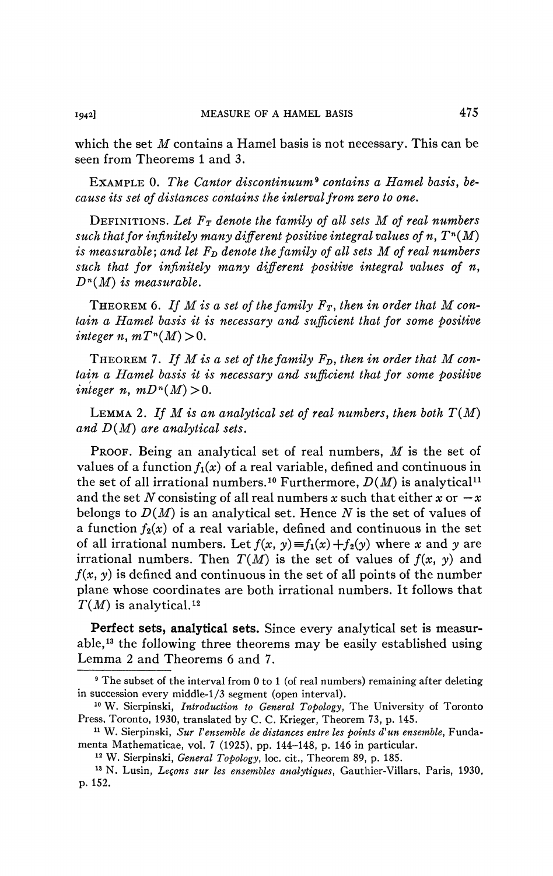which the set *M* contains a Hamel basis is not necessary. This can be seen from Theorems 1 and 3.

EXAMPLE 0. *The Cantor discontinuum<sup>9</sup> contains a Hamel basis, because its set of distances contains the interval from zero to one.* 

DEFINITIONS. *Let FT denote the family of all sets M of real numbers such that for infinitely many different positive integral values of n, T<sup>n</sup> (M) is measurable; and let*  $F_D$  *denote the family of all sets*  $M$  *of real numbers such that for infinitely many different positive integral values of n, D n (M) is measurable.* 

THEOREM 6. *If M is a set of the family FT, then in order that M contain a Hamel basis it is necessary and sufficient that for some positive*   $integer n, mT<sup>n</sup>(M) > 0.$ 

THEOREM 7. *If M is a set of the family FD, then in order that M contain a Hamel basis it is necessary and sufficient that for some positive integer n*,  $mD^{n}(M) > 0$ .

LEMMA 2. If M is an analytical set of real numbers, then both  $T(M)$ *and D(M) are analytical sets.* 

PROOF. Being an analytical set of real numbers, *M* is the set of values of a function  $f_1(x)$  of a real variable, defined and continuous in the set of all irrational numbers.<sup>10</sup> Furthermore,  $D(M)$  is analytical<sup>11</sup> and the set N consisting of all real numbers x such that either x or  $-x$ belongs to *D(M)* is an analytical set. Hence *N* is the set of values of a function  $f_2(x)$  of a real variable, defined and continuous in the set of all irrational numbers. Let  $f(x, y) \equiv f_1(x) + f_2(y)$  where x and y are irrational numbers. Then  $T(M)$  is the set of values of  $f(x, y)$  and  $f(x, y)$  is defined and continuous in the set of all points of the number plane whose coordinates are both irrational numbers. It follows that *T(M)* is analytical.<sup>12</sup>

**Perfect sets, analytical sets.** Since every analytical set is measurable,<sup>13</sup> the following three theorems may be easily established using Lemma 2 and Theorems 6 and 7.

<sup>&</sup>lt;sup>9</sup> The subset of the interval from 0 to 1 (of real numbers) remaining after deleting in succession every middle-1/3 segment (open interval).

<sup>10</sup> W. Sierpinski, *Introduction to General Topology,* The University of Toronto Press, Toronto, 1930, translated by C. C. Krieger, Theorem 73, p. 145.

<sup>11</sup> W. Sierpinski, *Sur Vensemble de distances entre les points d'un ensemble,* Fundamenta Mathematicae, vol. 7 (1925), pp. 144-148, p. 146 in particular.

<sup>12</sup> W. Sierpinski, *General Topology,* loc. cit., Theorem 89, p. 185.

<sup>13</sup> N. Lusin, *Leçons sur les ensembles analytiques,* Gauthier-Villars, Paris, 1930, p. 152.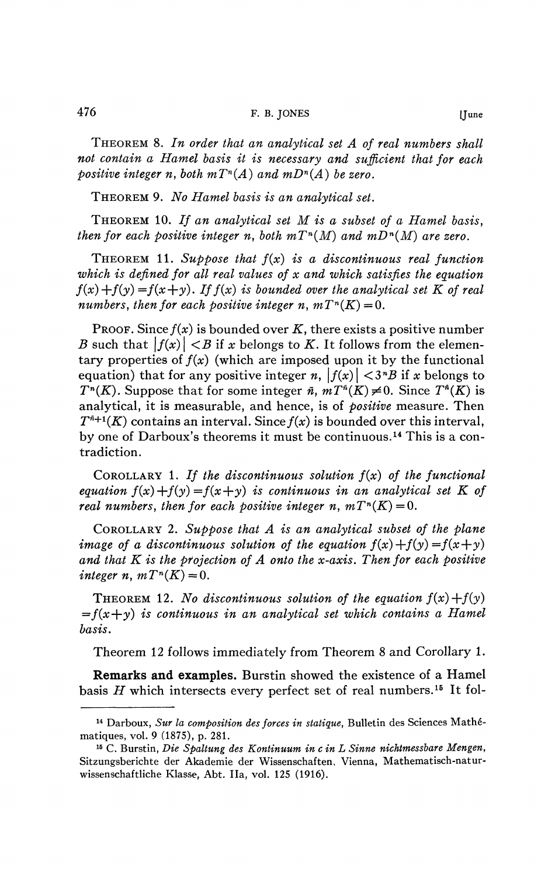THEOREM 8. *In order that an analytical set A of real numbers shall not contain a Hamel basis it is necessary and sufficient that for each positive integer n, both m* $T^n(A)$  and  $mD^n(A)$  be zero.

THEOREM 9. *No Hamel basis is an analytical set.* 

THEOREM 10. *If an analytical set M is a subset of a Hamel basis, then for each positive integer n, both*  $mT^n(M)$  *and*  $mD^n(M)$  *are zero.* 

THEOREM 11. *Suppose that f(x) is a discontinuous real function which is defined for all real values of x and which satisfies the equation*   $f(x) + f(y) = f(x+y)$ . If  $f(x)$  is bounded over the analytical set K of real *numbers, then for each positive integer n,*  $mT^n(K) = 0$ *.* 

PROOF. Since  $f(x)$  is bounded over  $K$ , there exists a positive number *B* such that  $|f(x)| < B$  if *x* belongs to *K*. It follows from the elementary properties of  $f(x)$  (which are imposed upon it by the functional equation) that for any positive integer *n*,  $|f(x)| < 3^n B$  if *x* belongs to *T*<sup>*n*</sup>(*K*). Suppose that for some integer *n*,  $mT^{n}(K) \neq 0$ . Since  $T^{n}(K)$  is analytical, it is measurable, and hence, is of *positive* measure. Then  $T^{n+1}(K)$  contains an interval. Since  $f(x)$  is bounded over this interval, by one of Darboux's theorems it must be continuous.<sup>14</sup> This is a contradiction.

COROLLARY 1. *If the discontinuous solution f(x) of the functional equation*  $f(x)+f(y)=f(x+y)$  *is continuous in an analytical set K of real numbers, then for each positive integer n,*  $mT^n(K) = 0$ *.* 

COROLLARY 2. *Suppose that A is an analytical subset of the plane image of a discontinuous solution of the equation*  $f(x) + f(y) = f(x+y)$ *and that K is the projection of A onto the x-axis. Then for each positive integer n, m* $T^n(K) = 0$ .

**THEOREM 12.** No discontinuous solution of the equation  $f(x) + f(y)$  $=f(x+y)$  is continuous in an analytical set which contains a Hamel *basis.* 

Theorem 12 follows immediately from Theorem 8 and Corollary **1.** 

**Remarks and examples.** Burstin showed the existence of a Hamel basis H which intersects every perfect set of real numbers.<sup>15</sup> It fol-

<sup>14</sup> Darboux, *Sur la composition des forces in statique,* Bulletin des Sciences Mathématiques, vol. 9 (1875), p. 281.

<sup>15</sup> C. Burstin, *Die Spaltung des Kontinuum in c in L Sinne nichtmessbare Mengen,*  Sitzungsberichte der Akademie der Wissenschaften, Vienna, Mathematisch-naturwissenschaftliche Klasse, Abt. lia, vol. 125 (1916).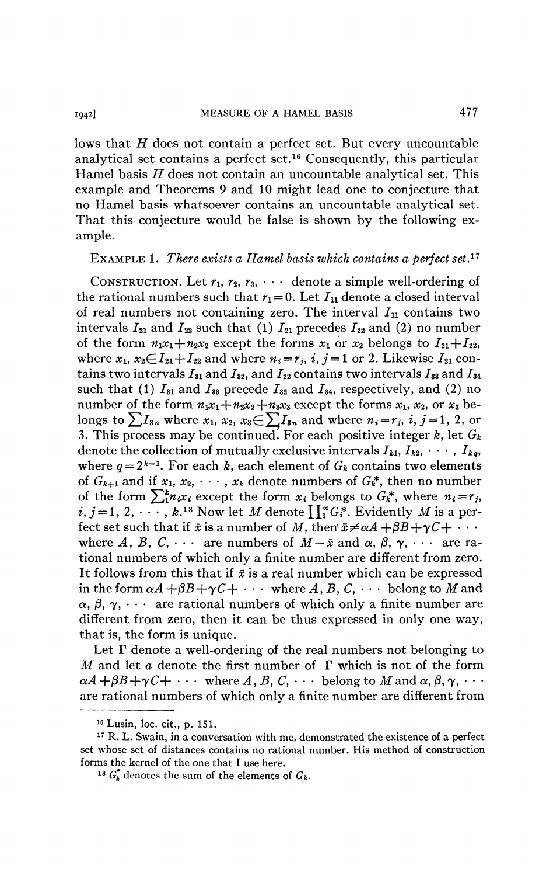lows that *H* does not contain a perfect set. But every uncountable analytical set contains a perfect set.<sup>16</sup> Consequently, this particular Hamel basis *H* does not contain an uncountable analytical set. This example and Theorems 9 and 10 might lead one to conjecture that no Hamel basis whatsoever contains an uncountable analytical set. That this conjecture would be false is shown by the following example.

## EXAMPLE 1. *There exists a Hamel basis which contains a perfect set.<sup>17</sup>*

CONSTRUCTION. Let  $r_1$ ,  $r_2$ ,  $r_3$ ,  $\cdots$  denote a simple well-ordering of the rational numbers such that  $r_1 = 0$ . Let  $I_{11}$  denote a closed interval of real numbers not containing zero. The interval *In* contains two intervals  $I_{21}$  and  $I_{22}$  such that (1)  $I_{21}$  precedes  $I_{22}$  and (2) no number of the form  $n_1x_1+n_2x_2$  except the forms  $x_1$  or  $x_2$  belongs to  $I_{21}+I_{22}$ , where  $x_1, x_2 \in I_{21} + I_{22}$  and where  $n_i = r_j, i, j = 1$  or 2. Likewise  $I_{21}$  contains two intervals  $I_{31}$  and  $I_{32}$ , and  $I_{22}$  contains two intervals  $I_{33}$  and  $I_{34}$ such that (1)  $I_{31}$  and  $I_{33}$  precede  $I_{32}$  and  $I_{34}$ , respectively, and (2) no number of the form  $n_1x_1+n_2x_2+n_3x_3$  except the forms  $x_1, x_2,$  or  $x_3$  belongs to  $\sum I_{3n}$  where  $x_1, x_2, x_3 \in \sum I_{3n}$  and where  $n_i = r_j$ , i, j = 1, 2, or 3. This process may be continued. For each positive integer  $k$ , let  $G_k$ denote the collection of mutually exclusive intervals  $I_{k1}, I_{k2}, \cdots, I_{kq}$ where  $q = 2^{k-1}$ . For each k, each element of  $G_k$  contains two elements of  $G_{k+1}$  and if  $x_1, x_2, \cdots, x_k$  denote numbers of  $G_k^*$ , then no number of the form  $\sum_{i=1}^{k} n_i x_i$  except the form  $x_i$  belongs to  $G_k^*$ , where  $n_i = r_j$ ,  $i, j = 1, 2, \cdots, k.$ <sup>18</sup> Now let  $M$  denote  $\prod_1^\infty G_i^*$ . Evidently  $M$  is a perfect set such that if  $\bar{x}$  is a number of M, then  $\bar{x} \neq \alpha A + \beta B + \gamma C + \cdots$ where A, B, C,  $\cdots$  are numbers of  $M-\bar{x}$  and  $\alpha$ ,  $\beta$ ,  $\gamma$ ,  $\cdots$  are rational numbers of which only a finite number are different from zero. It follows from this that if *x* is a real number which can be expressed in the form  $\alpha A + \beta B + \gamma C + \cdots$  where A, B, C,  $\cdots$  belong to M and  $\alpha, \beta, \gamma, \cdots$  are rational numbers of which only a finite number are different from zero, then it can be thus expressed in only one way, that is, the form is unique.

Let  $\Gamma$  denote a well-ordering of the real numbers not belonging to *M* and let *a* denote the first number of *T* which is not of the form  $\alpha A + \beta B + \gamma C + \cdots$  where *A*, *B*, *C*,  $\cdots$  belong to *M* and  $\alpha, \beta, \gamma, \cdots$ are rational numbers of which only a finite number are different from

<sup>16</sup> Lusin, loc. cit., p. 151.

<sup>&</sup>lt;sup>17</sup> R. L. Swain, in a conversation with me, demonstrated the existence of a perfect set whose set of distances contains no rational number. His method of construction forms the kernel of the one that I use here.

 $G_{k}^{*}$  denotes the sum of the elements of  $G_{k}$ .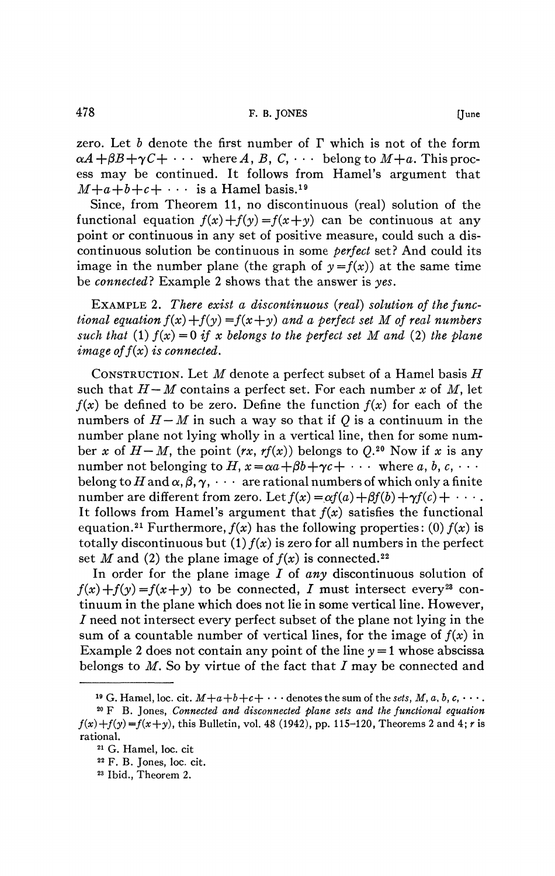zero. Let *b* denote the first number of *T* which is not of the form  $\alpha A + \beta B + \gamma C + \cdots$  where A, B, C,  $\cdots$  belong to  $M+a$ . This process may be continued. It follows from Hamel's argument that  $M+a+b+c+ \cdots$  is a Hamel basis.<sup>19</sup>

Since, from Theorem 11, no discontinuous (real) solution of the functional equation  $f(x)+f(y) = f(x+y)$  can be continuous at any point or continuous in any set of positive measure, could such a discontinuous solution be continuous in some *perfect* set? And could its image in the number plane (the graph of  $y = f(x)$ ) at the same time be *connected?* Example 2 shows that the answer is *yes.* 

EXAMPLE 2. *There exist a discontinuous (real) solution of the functional equation*  $f(x) + f(y) = f(x+y)$  *and a perfect set M of real numbers such that* (1)  $f(x) = 0$  *if x belongs to the perfect set M and* (2) *the plane image of*  $f(x)$  *is connected.* 

CONSTRUCTION. Let *M* denote a perfect subset of a Hamel basis *H*  such that *H— M* contains a perfect set. For each number *x* of *M,* let  $f(x)$  be defined to be zero. Define the function  $f(x)$  for each of the numbers of  $H-M$  in such a way so that if Q is a continuum in the number plane not lying wholly in a vertical line, then for some number x of  $H-M$ , the point  $(rx, rf(x))$  belongs to  $Q^{20}$  Now if x is any number not belonging to  $H$ ,  $x = \alpha a + \beta b + \gamma c + \cdots$  where a, b, c,  $\cdots$ belong to H and  $\alpha, \beta, \gamma, \cdots$  are rational numbers of which only a finite number are different from zero. Let  $f(x) = \alpha f(a) + \beta f(b) + \gamma f(c) + \cdots$ . It follows from Hamel's argument that  $f(x)$  satisfies the functional equation.<sup>21</sup> Furthermore,  $f(x)$  has the following properties: (0)  $f(x)$  is totally discontinuous but (1)  $f(x)$  is zero for all numbers in the perfect set *M* and (2) the plane image of  $f(x)$  is connected.<sup>22</sup>

In order for the plane image I of any discontinuous solution of  $f(x) + f(y) = f(x + y)$  to be connected, I must intersect every<sup>23</sup> continuum in the plane which does not lie in some vertical line. However, / need not intersect every perfect subset of the plane not lying in the sum of a countable number of vertical lines, for the image of  $f(x)$  in Example 2 does not contain any point of the line  $y = 1$  whose abscissa belongs to  $M$ . So by virtue of the fact that  $I$  may be connected and

<sup>&</sup>lt;sup>19</sup> G. Hamel, loc. cit.  $M+a+b+c+\cdot\cdot\cdot$  denotes the sum of the *sets, M, a, b, c,*  $\cdot\cdot\cdot$ .

<sup>20</sup> F B. Jones, *Connected and disconnected plane sets and the functional equation*   $f(x)+f(y)=f(x+y)$ , this Bulletin, vol. 48 (1942), pp. 115-120, Theorems 2 and 4; *r* is rational.

<sup>21</sup> G. Hamel, loc. cit

<sup>22</sup> F. B. Jones, loc. cit.

<sup>23</sup> Ibid., Theorem 2.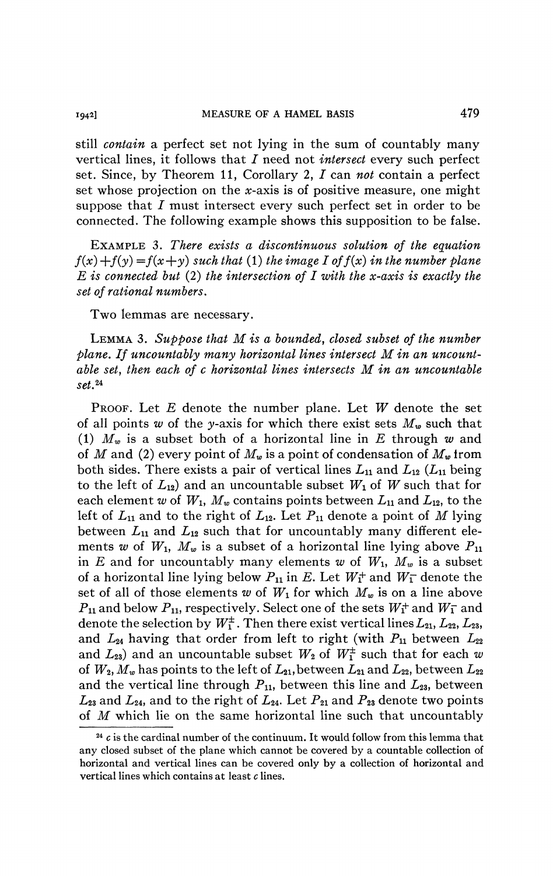still *contain* a perfect set not lying in the sum of countably many vertical lines, it follows that *I* need not *intersect* every such perfect set. Since, by Theorem 11, Corollary 2, I can not contain a perfect set whose projection on the x-axis is of positive measure, one might suppose that  $I$  must intersect every such perfect set in order to be connected. The following example shows this supposition to be false.

EXAMPLE 3. *There exists a discontinuous solution of the equation*   $f(x) + f(y) = f(x + y)$  such that (1) the image I of  $f(x)$  in the number plane *E is connected but* (2) *the intersection of I with the x-axis is exactly the set of rational numbers.* 

Two lemmas are necessary.

LEMMA 3. *Suppose that M is a bounded, closed subset of the number plane. If uncountably many horizontal lines intersect M in an uncountable set, then each of c horizontal lines intersects M in an uncountable set.*<sup>24</sup>

PROOF. Let *E* denote the number plane. Let *W* denote the set of all points *w* of the y-axis for which there exist sets *Mw* such that (1) *Mw* is a subset both of a horizontal line in *E* through *w* and of *M* and (2) every point of *Mw* is a point of condensation of *Mw* from both sides. There exists a pair of vertical lines  $L_{11}$  and  $L_{12}$  ( $L_{11}$  being to the left of  $L_{12}$ ) and an uncountable subset  $W_1$  of  $W$  such that for each element w of  $W_1$ ,  $M_w$  contains points between  $L_{11}$  and  $L_{12}$ , to the left of  $L_{11}$  and to the right of  $L_{12}$ . Let  $P_{11}$  denote a point of M lying between  $L_{11}$  and  $L_{12}$  such that for uncountably many different elements w of  $W_1$ ,  $M_w$  is a subset of a horizontal line lying above  $P_{11}$ in *E* and for uncountably many elements *w* of *Wi, Mw* is a subset of a horizontal line lying below  $P_{11}$  in E. Let  $W_1^+$  and  $W_1^-$  denote the set of all of those elements  $w$  of  $W_1$  for which  $M_w$  is on a line above  $P_{11}$  and below  $P_{11}$ , respectively. Select one of the sets  $W_1^+$  and  $W_1^-$  and denote the selection by  $W_1^{\pm}$ . Then there exist vertical lines  $L_{21}$ ,  $L_{22}$ ,  $L_{23}$ , and  $L_{24}$  having that order from left to right (with  $P_{11}$  between  $L_{22}$ and  $L_{23}$  and an uncountable subset  $W_2$  of  $W_1^{\pm}$  such that for each w of  $W_2$ ,  $M_w$  has points to the left of  $L_{21}$ , between  $L_{21}$  and  $L_{22}$ , between  $L_{22}$ and the vertical line through  $P_{11}$ , between this line and  $L_{23}$ , between  $L_{23}$  and  $L_{24}$ , and to the right of  $L_{24}$ . Let  $P_{21}$  and  $P_{23}$  denote two points of *M* which lie on the same horizontal line such that uncountably

<sup>&</sup>lt;sup>24</sup> c is the cardinal number of the continuum. It would follow from this lemma that any closed subset of the plane which cannot be covered by a countable collection of horizontal and vertical lines can be covered only by a collection of horizontal and vertical lines which contains at least *c* lines.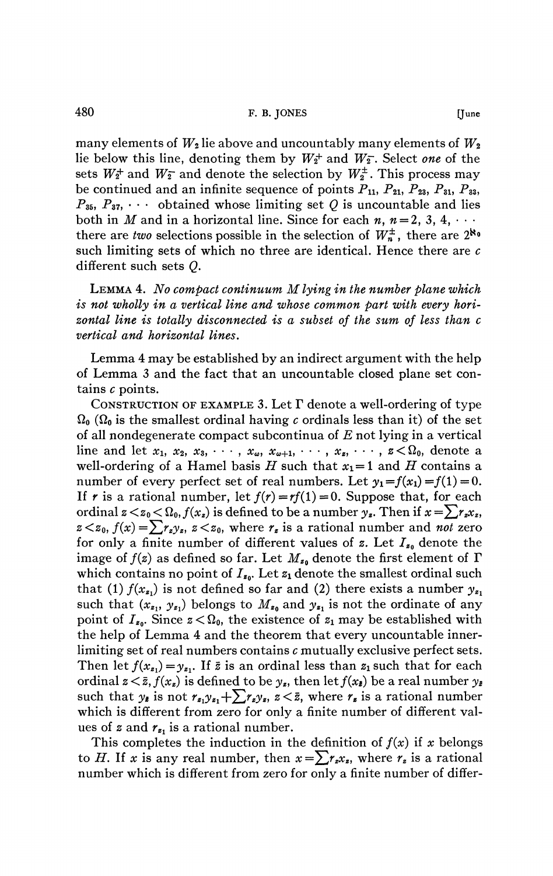many elements of  $W_2$  lie above and uncountably many elements of  $W_2$ lie below this line, denoting them by  $W_2^+$  and  $W_2^-$ . Select one of the sets  $W_2^+$  and  $W_2^-$  and denote the selection by  $W_2^{\pm}$ . This process may be continued and an infinite sequence of points  $P_{11}$ ,  $P_{21}$ ,  $P_{23}$ ,  $P_{31}$ ,  $P_{33}$ ,  $P_{35}$ ,  $P_{37}$ ,  $\cdots$  obtained whose limiting set Q is uncountable and lies both in *M* and in a horizontal line. Since for each *n*,  $n = 2, 3, 4, \cdots$ there are *two* selections possible in the selection of  $W_n^{\pm}$ , there are  $2^{\aleph_0}$ such limiting sets of which no three are identical. Hence there are *c*  different such sets *Q.* 

LEMMA 4. *No compact continuum M lying in the number plane which is not wholly in a vertical line and whose common part with every horizontal line is totally disconnected is a subset of the sum of less than c vertical and horizontal lines.* 

Lemma 4 may be established by an indirect argument with the help of Lemma 3 and the fact that an uncountable closed plane set contains *c* points.

CONSTRUCTION OF EXAMPLE 3. Let *T* denote a well-ordering of type  $\Omega_0$  ( $\Omega_0$  is the smallest ordinal having c ordinals less than it) of the set of all nondegenerate compact subcontinua of *E* not lying in a vertical line and let  $x_1, x_2, x_3, \cdots, x_\omega, x_{\omega+1}, \cdots, x_z, \cdots, z \lt \Omega_0$ , denote a well-ordering of a Hamel basis *H* such that  $x_1=1$  and *H* contains a number of every perfect set of real numbers. Let  $y_1 = f(x_1) = f(1) = 0$ . If r is a rational number, let  $f(r) = rf(1) = 0$ . Suppose that, for each ordinal  $z \lt z_0 \lt \Omega_0$ ,  $f(x_z)$  is defined to be a number  $y_z$ . Then if  $z \lt z_0$ ,  $f(x) = \sum r_z y_z$ ,  $z \lt z_0$ , where  $r_z$  is a rational number and *not* zero for only a finite number of different values of *z.* Let *Ieo* denote the image of  $f(z)$  as defined so far. Let  $M_{z_0}$  denote the first element of  $\Gamma$ which contains no point of  $I_{z_0}$ . Let  $z_1$  denote the smallest ordinal such that (1)  $f(x_{\mathbf{z}_1})$  is not defined so far and (2) there exists a number  $y_{\mathbf{z}_1}$ such that  $(x_{z_1}, y_{z_1})$  belongs to  $M_{z_0}$  and  $y_{z_1}$  is not the ordinate of any point of  $I_{z_0}$ . Since  $z < \Omega_0$ , the existence of  $z_1$  may be established with the help of Lemma 4 and the theorem that every uncountable innerlimiting set of real numbers contains *c* mutually exclusive perfect sets. Then let  $f(x_{z_1}) = y_{z_1}$ . If  $\bar{z}$  is an ordinal less than  $z_1$  such that for each ordinal  $z \leq \bar{z}$ ,  $f(x_z)$  is defined to be  $y_z$ , then let  $f(x_z)$  be a real number  $y_z$ such that  $y_{\bar{z}}$  is not  $r_{z_1}y_{z_1} + \sum_{\ell} r_{z_1}y_{z_2} \leq \bar{z}$ , where  $r_{\bar{z}}$  is a rational number which is different from zero for only a finite number of different values of  $z$  and  $r_{z_1}$  is a rational number.

This completes the induction in the definition of  $f(x)$  if x belongs to *H*. If *x* is any real number, then  $x = \sum r_x x_z$ , where  $r_z$  is a rational number which is different from zero for only a finite number of differ